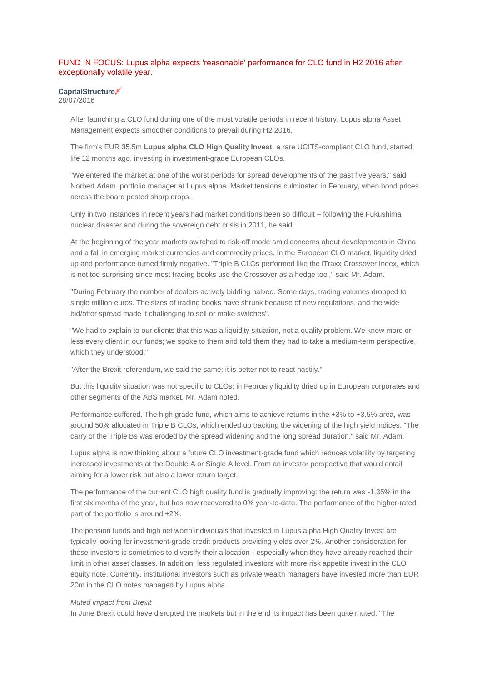# FUND IN FOCUS: Lupus alpha expects 'reasonable' performance for CLO fund in H2 2016 after exceptionally volatile year.

# **CapitalStructure**

28/07/2016

After launching a CLO fund during one of the most volatile periods in recent history, Lupus alpha Asset Management expects smoother conditions to prevail during H2 2016.

The firm's EUR 35.5m **Lupus alpha CLO High Quality Invest**, a rare UCITS-compliant CLO fund, started life 12 months ago, investing in investment-grade European CLOs.

"We entered the market at one of the worst periods for spread developments of the past five years," said Norbert Adam, portfolio manager at Lupus alpha. Market tensions culminated in February, when bond prices across the board posted sharp drops.

Only in two instances in recent years had market conditions been so difficult – following the Fukushima nuclear disaster and during the sovereign debt crisis in 2011, he said.

At the beginning of the year markets switched to risk-off mode amid concerns about developments in China and a fall in emerging market currencies and commodity prices. In the European CLO market, liquidity dried up and performance turned firmly negative. "Triple B CLOs performed like the iTraxx Crossover Index, which is not too surprising since most trading books use the Crossover as a hedge tool," said Mr. Adam.

"During February the number of dealers actively bidding halved. Some days, trading volumes dropped to single million euros. The sizes of trading books have shrunk because of new regulations, and the wide bid/offer spread made it challenging to sell or make switches".

"We had to explain to our clients that this was a liquidity situation, not a quality problem. We know more or less every client in our funds; we spoke to them and told them they had to take a medium-term perspective, which they understood."

"After the Brexit referendum, we said the same: it is better not to react hastily."

But this liquidity situation was not specific to CLOs: in February liquidity dried up in European corporates and other segments of the ABS market, Mr. Adam noted.

Performance suffered. The high grade fund, which aims to achieve returns in the +3% to +3.5% area, was around 50% allocated in Triple B CLOs, which ended up tracking the widening of the high yield indices. "The carry of the Triple Bs was eroded by the spread widening and the long spread duration," said Mr. Adam.

Lupus alpha is now thinking about a future CLO investment-grade fund which reduces volatility by targeting increased investments at the Double A or Single A level. From an investor perspective that would entail aiming for a lower risk but also a lower return target.

The performance of the current CLO high quality fund is gradually improving: the return was -1.35% in the first six months of the year, but has now recovered to 0% year-to-date. The performance of the higher-rated part of the portfolio is around +2%.

The pension funds and high net worth individuals that invested in Lupus alpha High Quality Invest are typically looking for investment-grade credit products providing yields over 2%. Another consideration for these investors is sometimes to diversify their allocation - especially when they have already reached their limit in other asset classes. In addition, less regulated investors with more risk appetite invest in the CLO equity note. Currently, institutional investors such as private wealth managers have invested more than EUR 20m in the CLO notes managed by Lupus alpha.

### *Muted impact from Brexit*

In June Brexit could have disrupted the markets but in the end its impact has been quite muted. "The